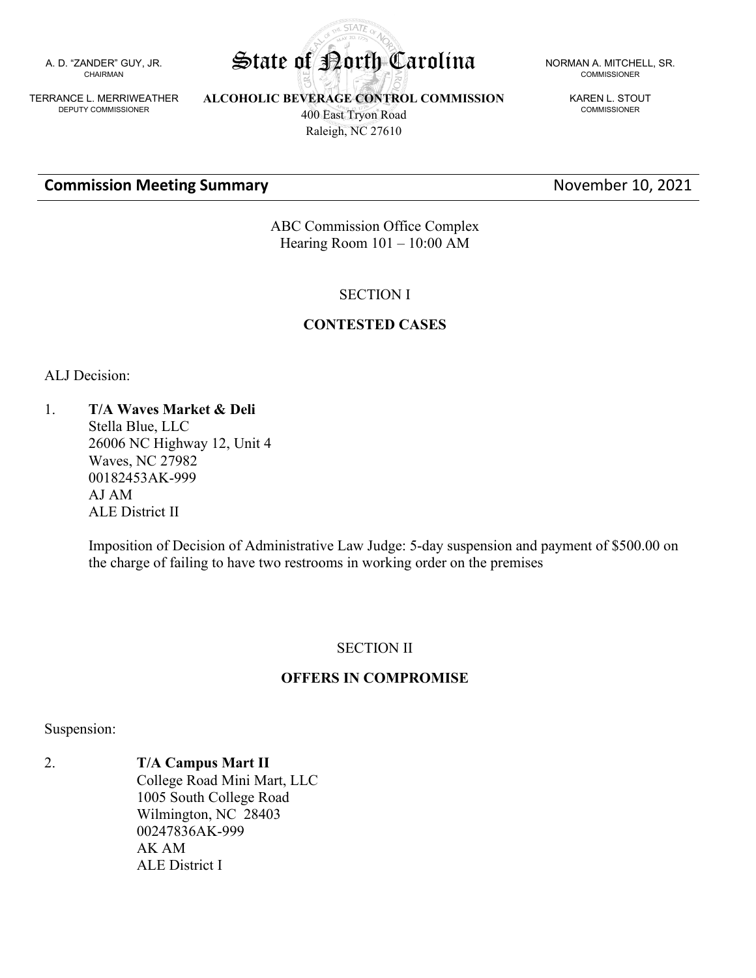A. D. "ZANDER" GUY, JR. CHAIRMAN

TERRANCE L. MERRIWEATHER DEPUTY COMMISSIONER

**ALCOHOLIC BEVERAGE CONTROL COMMISSION** 400 East Tryon Road

# Raleigh, NC 27610

#### **Commission Meeting Summary November 10, 2021**

COMMISSIONER

KAREN L. STOUT COMMISSIONER

ABC Commission Office Complex Hearing Room 101 – 10:00 AM

#### SECTION I

#### **CONTESTED CASES**

ALJ Decision:

1. **T/A Waves Market & Deli** Stella Blue, LLC 26006 NC Highway 12, Unit 4 Waves, NC 27982 00182453AK-999 AJ AM ALE District II

> Imposition of Decision of Administrative Law Judge: 5-day suspension and payment of \$500.00 on the charge of failing to have two restrooms in working order on the premises

#### SECTION II

## **OFFERS IN COMPROMISE**

Suspension:

2. **T/A Campus Mart II** College Road Mini Mart, LLC 1005 South College Road Wilmington, NC 28403 00247836AK-999 AK AM ALE District I

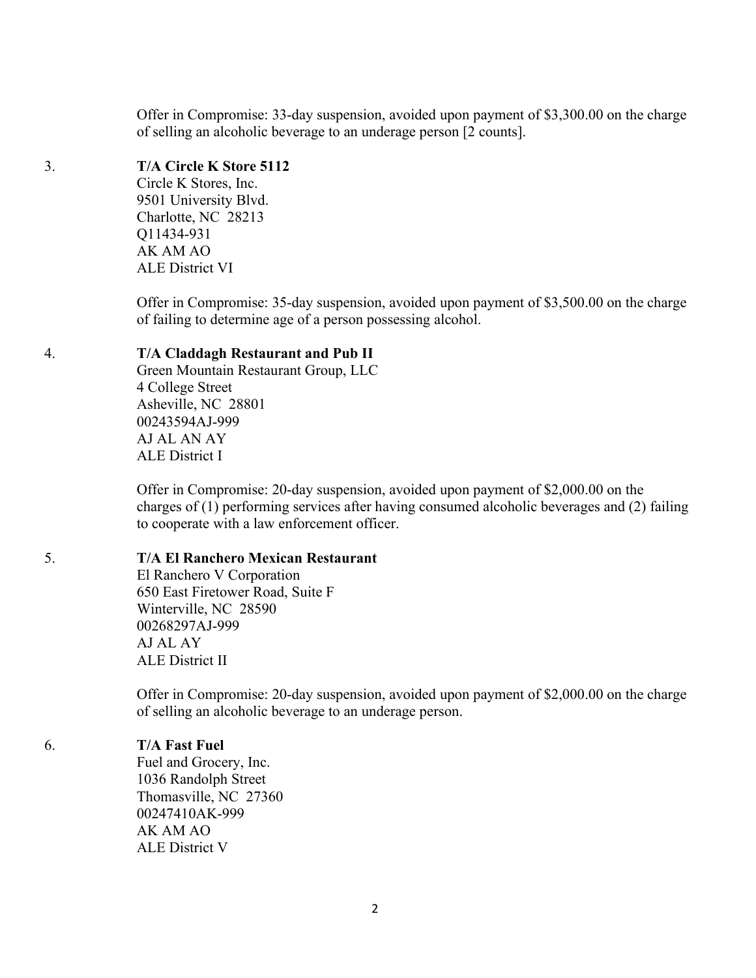Offer in Compromise: 33-day suspension, avoided upon payment of \$3,300.00 on the charge of selling an alcoholic beverage to an underage person [2 counts].

# 3. **T/A Circle K Store 5112**

Circle K Stores, Inc. 9501 University Blvd. Charlotte, NC 28213 Q11434-931 AK AM AO ALE District VI

Offer in Compromise: 35-day suspension, avoided upon payment of \$3,500.00 on the charge of failing to determine age of a person possessing alcohol.

# 4. **T/A Claddagh Restaurant and Pub II**

Green Mountain Restaurant Group, LLC 4 College Street Asheville, NC 28801 00243594AJ-999 AJ AL AN AY ALE District I

Offer in Compromise: 20-day suspension, avoided upon payment of \$2,000.00 on the charges of (1) performing services after having consumed alcoholic beverages and (2) failing to cooperate with a law enforcement officer.

## 5. **T/A El Ranchero Mexican Restaurant**

El Ranchero V Corporation 650 East Firetower Road, Suite F Winterville, NC 28590 00268297AJ-999 AJ AL AY ALE District II

Offer in Compromise: 20-day suspension, avoided upon payment of \$2,000.00 on the charge of selling an alcoholic beverage to an underage person.

## 6. **T/A Fast Fuel**

Fuel and Grocery, Inc. 1036 Randolph Street Thomasville, NC 27360 00247410AK-999 AK AM AO ALE District V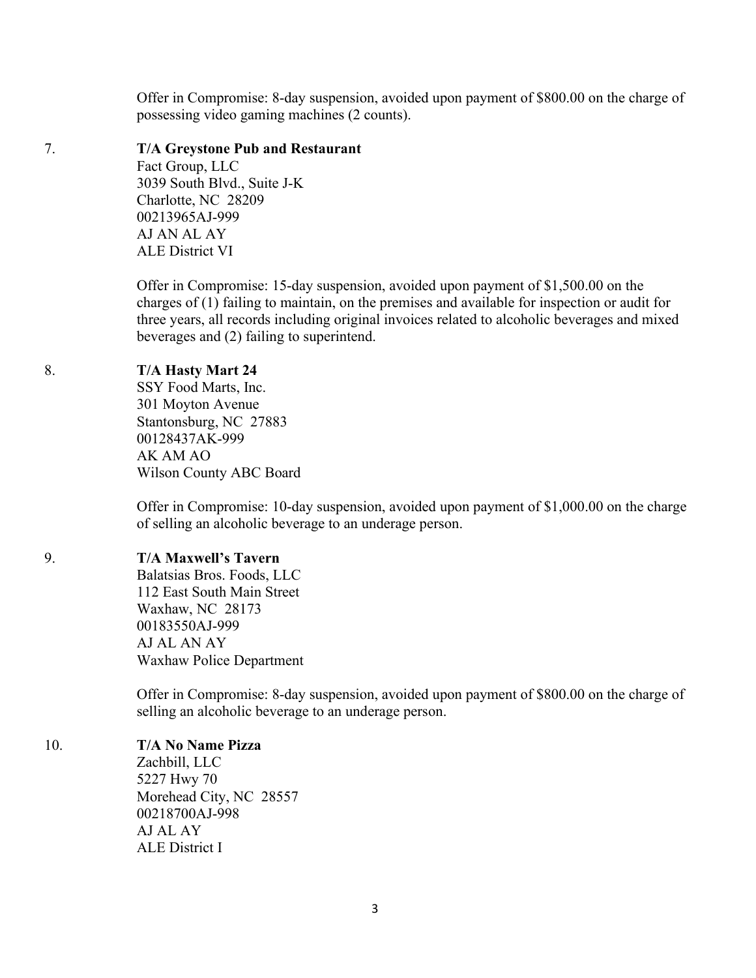Offer in Compromise: 8-day suspension, avoided upon payment of \$800.00 on the charge of possessing video gaming machines (2 counts).

#### 7. **T/A Greystone Pub and Restaurant**

Fact Group, LLC 3039 South Blvd., Suite J-K Charlotte, NC 28209 00213965AJ-999 AJ AN AL AY ALE District VI

Offer in Compromise: 15-day suspension, avoided upon payment of \$1,500.00 on the charges of (1) failing to maintain, on the premises and available for inspection or audit for three years, all records including original invoices related to alcoholic beverages and mixed beverages and (2) failing to superintend.

## 8. **T/A Hasty Mart 24**

SSY Food Marts, Inc. 301 Moyton Avenue Stantonsburg, NC 27883 00128437AK-999 AK AM AO Wilson County ABC Board

Offer in Compromise: 10-day suspension, avoided upon payment of \$1,000.00 on the charge of selling an alcoholic beverage to an underage person.

## 9. **T/A Maxwell's Tavern**

Balatsias Bros. Foods, LLC 112 East South Main Street Waxhaw, NC 28173 00183550AJ-999 AJ AL AN AY Waxhaw Police Department

Offer in Compromise: 8-day suspension, avoided upon payment of \$800.00 on the charge of selling an alcoholic beverage to an underage person.

10. **T/A No Name Pizza**

Zachbill, LLC 5227 Hwy 70 Morehead City, NC 28557 00218700AJ-998 AJ AL AY ALE District I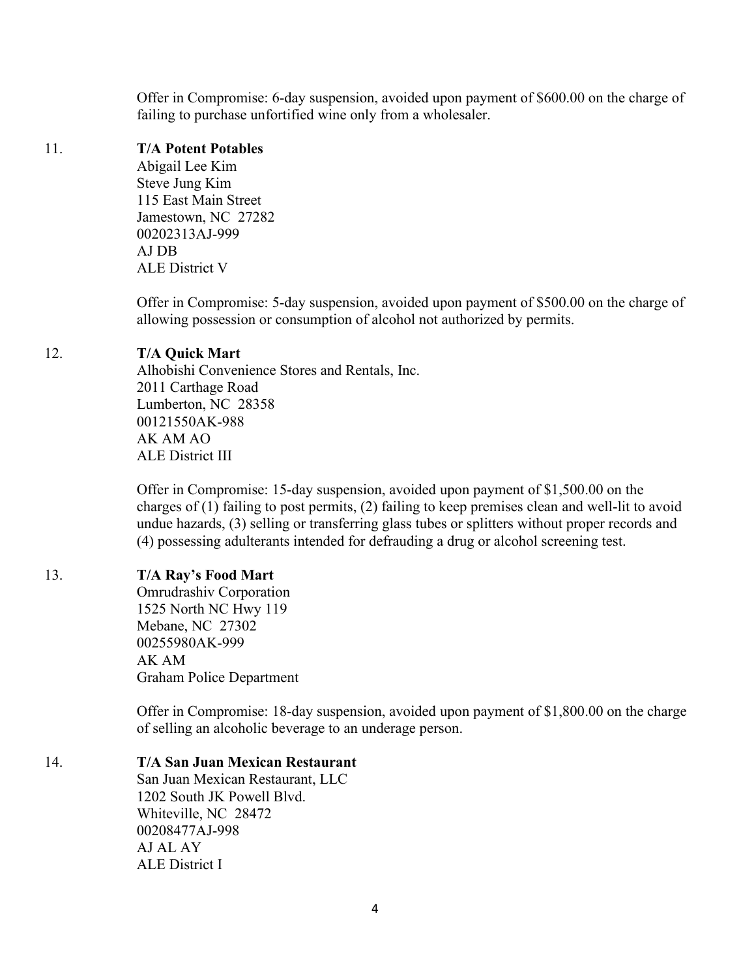Offer in Compromise: 6-day suspension, avoided upon payment of \$600.00 on the charge of failing to purchase unfortified wine only from a wholesaler.

#### 11. **T/A Potent Potables**

Abigail Lee Kim Steve Jung Kim 115 East Main Street Jamestown, NC 27282 00202313AJ-999 AJ DB ALE District V

Offer in Compromise: 5-day suspension, avoided upon payment of \$500.00 on the charge of allowing possession or consumption of alcohol not authorized by permits.

#### 12. **T/A Quick Mart**

Alhobishi Convenience Stores and Rentals, Inc. 2011 Carthage Road Lumberton, NC 28358 00121550AK-988 AK AM AO ALE District III

Offer in Compromise: 15-day suspension, avoided upon payment of \$1,500.00 on the charges of (1) failing to post permits, (2) failing to keep premises clean and well-lit to avoid undue hazards, (3) selling or transferring glass tubes or splitters without proper records and (4) possessing adulterants intended for defrauding a drug or alcohol screening test.

## 13. **T/A Ray's Food Mart**

Omrudrashiv Corporation 1525 North NC Hwy 119 Mebane, NC 27302 00255980AK-999 AK AM Graham Police Department

Offer in Compromise: 18-day suspension, avoided upon payment of \$1,800.00 on the charge of selling an alcoholic beverage to an underage person.

#### 14. **T/A San Juan Mexican Restaurant**

San Juan Mexican Restaurant, LLC 1202 South JK Powell Blvd. Whiteville, NC 28472 00208477AJ-998 AJ AL AY ALE District I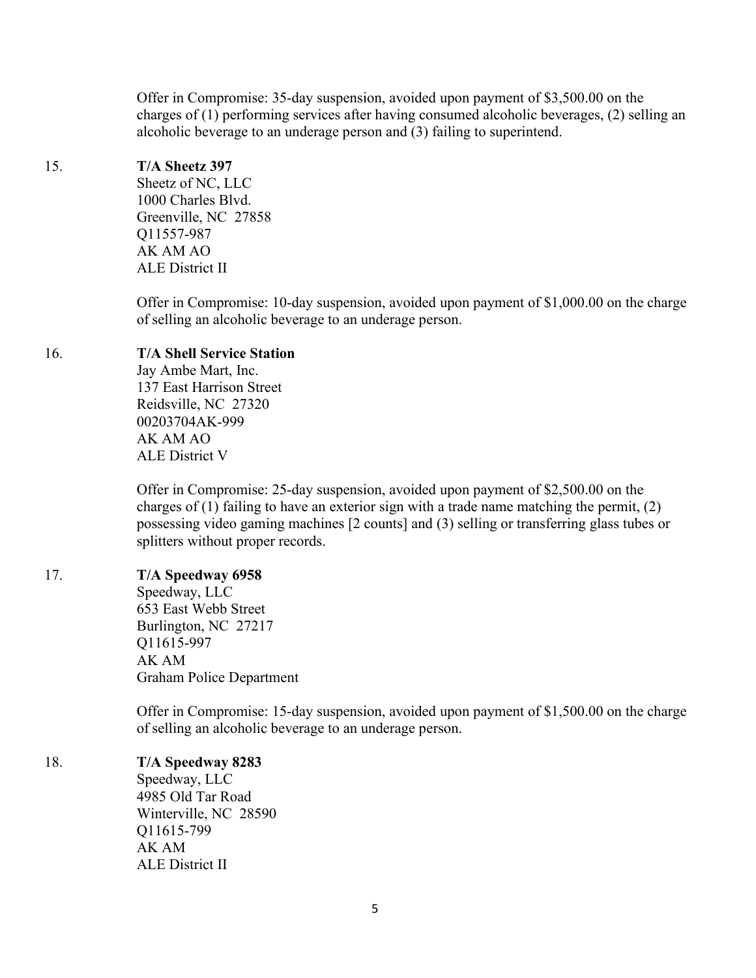Offer in Compromise: 35-day suspension, avoided upon payment of \$3,500.00 on the charges of (1) performing services after having consumed alcoholic beverages, (2) selling an alcoholic beverage to an underage person and (3) failing to superintend.

## 15. **T/A Sheetz 397**

Sheetz of NC, LLC 1000 Charles Blvd. Greenville, NC 27858 Q11557-987 AK AM AO ALE District II

Offer in Compromise: 10-day suspension, avoided upon payment of \$1,000.00 on the charge of selling an alcoholic beverage to an underage person.

## 16. **T/A Shell Service Station**

Jay Ambe Mart, Inc. 137 East Harrison Street Reidsville, NC 27320 00203704AK-999 AK AM AO ALE District V

Offer in Compromise: 25-day suspension, avoided upon payment of \$2,500.00 on the charges of (1) failing to have an exterior sign with a trade name matching the permit, (2) possessing video gaming machines [2 counts] and (3) selling or transferring glass tubes or splitters without proper records.

## 17. **T/A Speedway 6958**

Speedway, LLC 653 East Webb Street Burlington, NC 27217 Q11615-997 AK AM Graham Police Department

Offer in Compromise: 15-day suspension, avoided upon payment of \$1,500.00 on the charge of selling an alcoholic beverage to an underage person.

## 18. **T/A Speedway 8283**

Speedway, LLC 4985 Old Tar Road Winterville, NC 28590 Q11615-799 AK AM ALE District II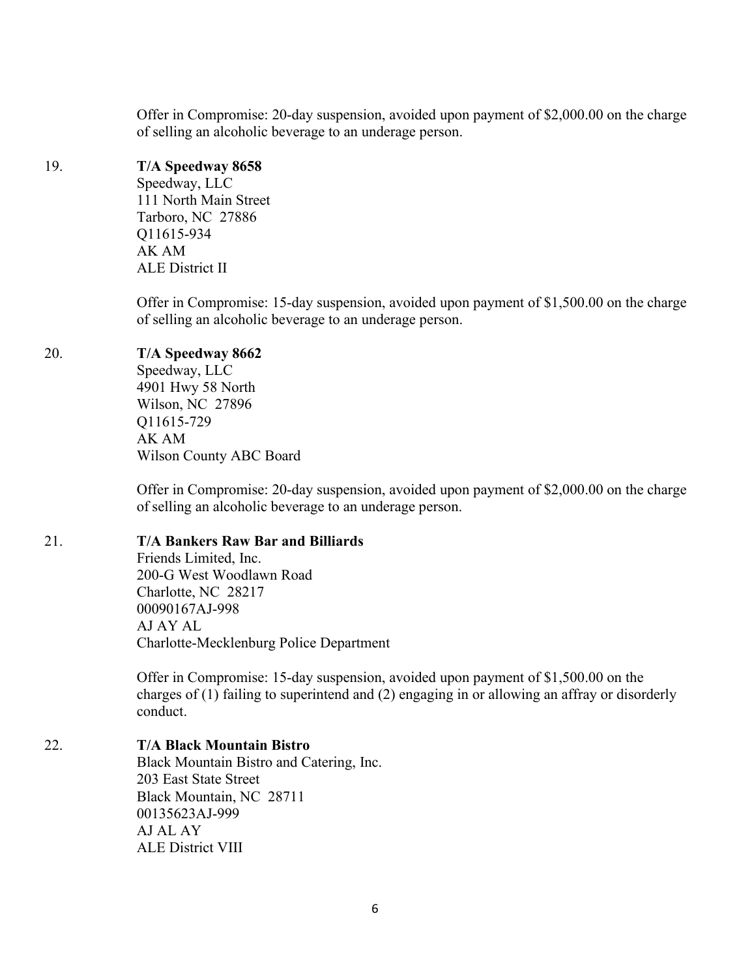Offer in Compromise: 20-day suspension, avoided upon payment of \$2,000.00 on the charge of selling an alcoholic beverage to an underage person.

# 19. **T/A Speedway 8658**

Speedway, LLC 111 North Main Street Tarboro, NC 27886 Q11615-934 AK AM ALE District II

Offer in Compromise: 15-day suspension, avoided upon payment of \$1,500.00 on the charge of selling an alcoholic beverage to an underage person.

# 20. **T/A Speedway 8662**

Speedway, LLC 4901 Hwy 58 North Wilson, NC 27896 Q11615-729 AK AM Wilson County ABC Board

Offer in Compromise: 20-day suspension, avoided upon payment of \$2,000.00 on the charge of selling an alcoholic beverage to an underage person.

## 21. **T/A Bankers Raw Bar and Billiards**

Friends Limited, Inc. 200-G West Woodlawn Road Charlotte, NC 28217 00090167AJ-998 AJ AY AL Charlotte-Mecklenburg Police Department

Offer in Compromise: 15-day suspension, avoided upon payment of \$1,500.00 on the charges of (1) failing to superintend and (2) engaging in or allowing an affray or disorderly conduct.

# 22. **T/A Black Mountain Bistro**

Black Mountain Bistro and Catering, Inc. 203 East State Street Black Mountain, NC 28711 00135623AJ-999 AJ AL AY ALE District VIII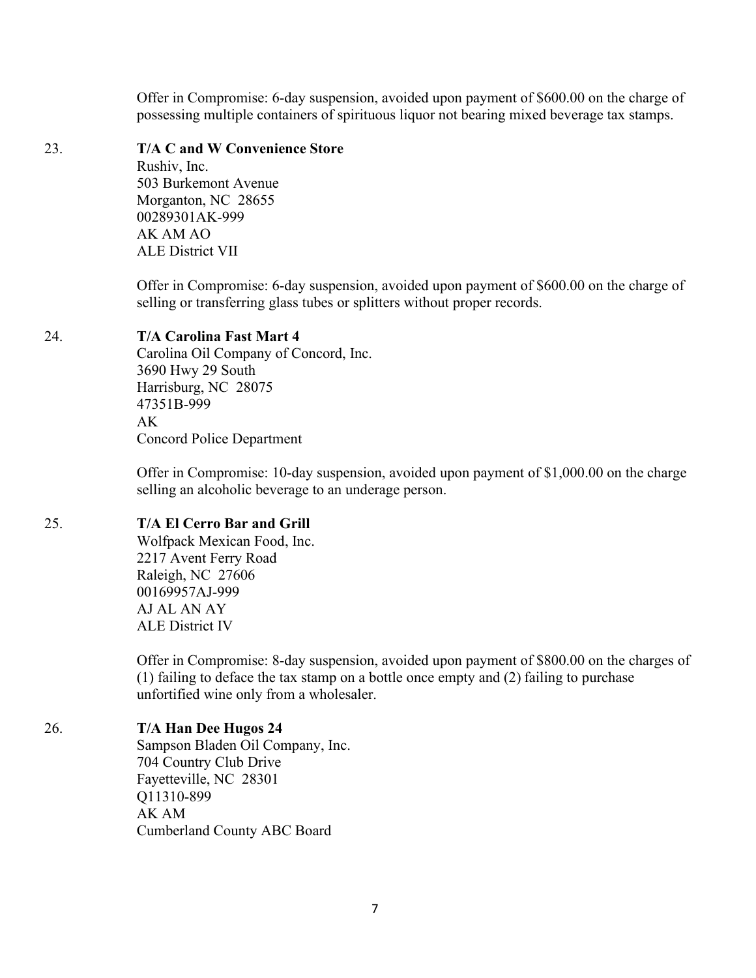Offer in Compromise: 6-day suspension, avoided upon payment of \$600.00 on the charge of possessing multiple containers of spirituous liquor not bearing mixed beverage tax stamps.

#### 23. **T/A C and W Convenience Store**

Rushiv, Inc. 503 Burkemont Avenue Morganton, NC 28655 00289301AK-999 AK AM AO ALE District VII

Offer in Compromise: 6-day suspension, avoided upon payment of \$600.00 on the charge of selling or transferring glass tubes or splitters without proper records.

## 24. **T/A Carolina Fast Mart 4**

Carolina Oil Company of Concord, Inc. 3690 Hwy 29 South Harrisburg, NC 28075 47351B-999  $AK$ Concord Police Department

Offer in Compromise: 10-day suspension, avoided upon payment of \$1,000.00 on the charge selling an alcoholic beverage to an underage person.

# 25. **T/A El Cerro Bar and Grill**

Wolfpack Mexican Food, Inc. 2217 Avent Ferry Road Raleigh, NC 27606 00169957AJ-999 AJ AL AN AY ALE District IV

Offer in Compromise: 8-day suspension, avoided upon payment of \$800.00 on the charges of (1) failing to deface the tax stamp on a bottle once empty and (2) failing to purchase unfortified wine only from a wholesaler.

## 26. **T/A Han Dee Hugos 24**

Sampson Bladen Oil Company, Inc. 704 Country Club Drive Fayetteville, NC 28301 Q11310-899 AK AM Cumberland County ABC Board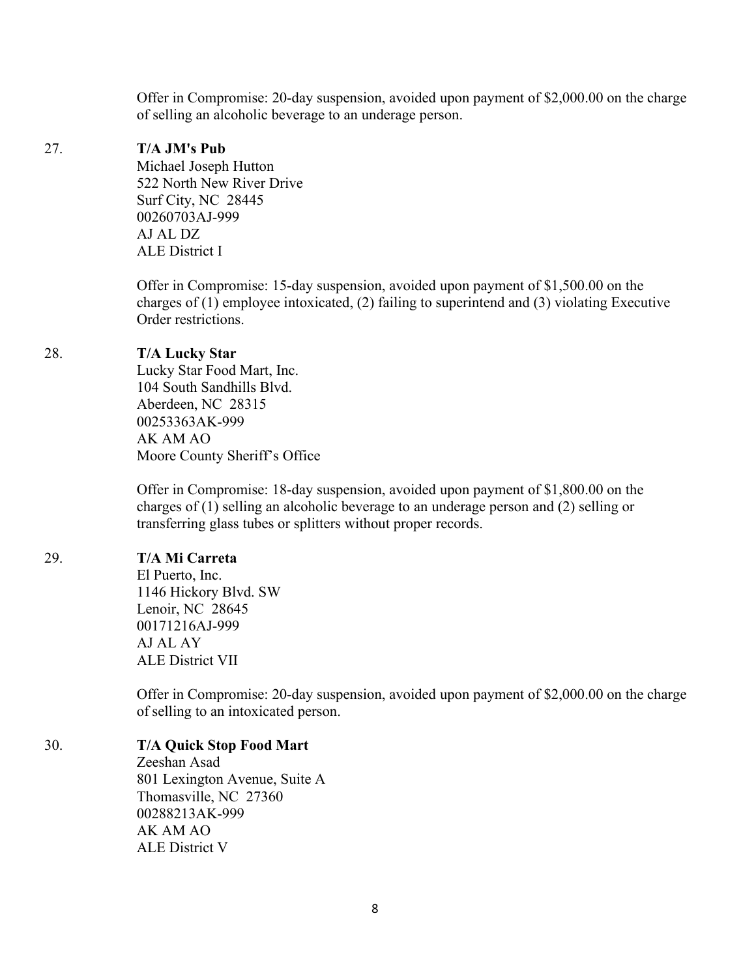Offer in Compromise: 20-day suspension, avoided upon payment of \$2,000.00 on the charge of selling an alcoholic beverage to an underage person.

#### 27. **T/A JM's Pub**

Michael Joseph Hutton 522 North New River Drive Surf City, NC 28445 00260703AJ-999 AJ AL DZ ALE District I

Offer in Compromise: 15-day suspension, avoided upon payment of \$1,500.00 on the charges of (1) employee intoxicated, (2) failing to superintend and (3) violating Executive Order restrictions.

#### 28. **T/A Lucky Star**

Lucky Star Food Mart, Inc. 104 South Sandhills Blvd. Aberdeen, NC 28315 00253363AK-999 AK AM AO Moore County Sheriff's Office

Offer in Compromise: 18-day suspension, avoided upon payment of \$1,800.00 on the charges of (1) selling an alcoholic beverage to an underage person and (2) selling or transferring glass tubes or splitters without proper records.

#### 29. **T/A Mi Carreta**

El Puerto, Inc. 1146 Hickory Blvd. SW Lenoir, NC 28645 00171216AJ-999 AJ AL AY ALE District VII

Offer in Compromise: 20-day suspension, avoided upon payment of \$2,000.00 on the charge of selling to an intoxicated person.

## 30. **T/A Quick Stop Food Mart**

Zeeshan Asad 801 Lexington Avenue, Suite A Thomasville, NC 27360 00288213AK-999 AK AM AO ALE District V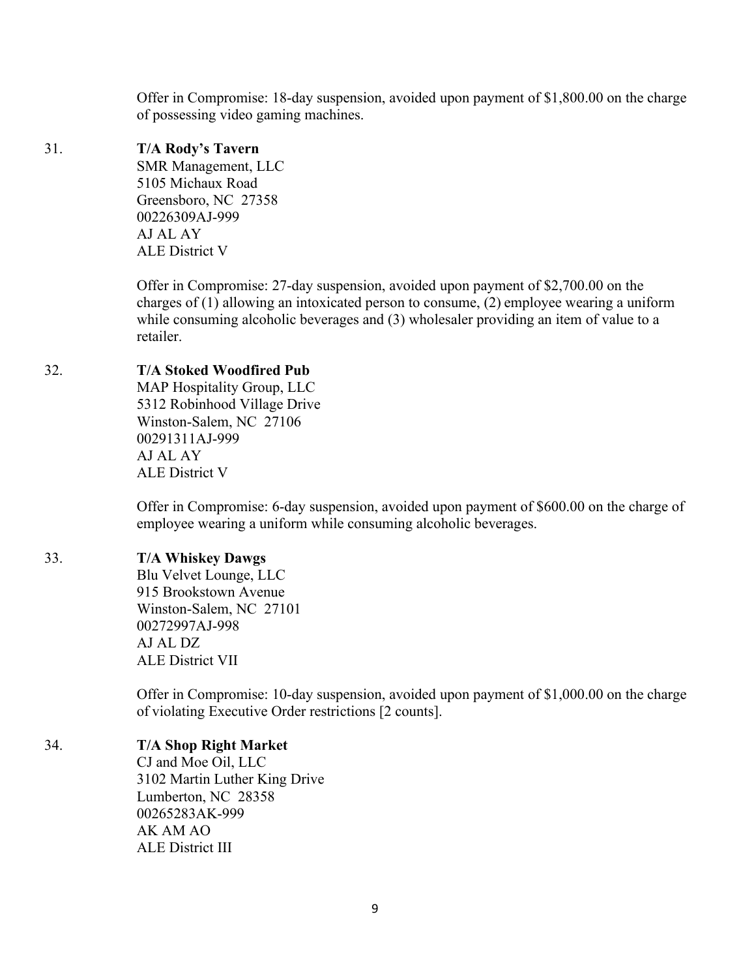Offer in Compromise: 18-day suspension, avoided upon payment of \$1,800.00 on the charge of possessing video gaming machines.

## 31. **T/A Rody's Tavern**

SMR Management, LLC 5105 Michaux Road Greensboro, NC 27358 00226309AJ-999 AJ AL AY ALE District V

Offer in Compromise: 27-day suspension, avoided upon payment of \$2,700.00 on the charges of (1) allowing an intoxicated person to consume, (2) employee wearing a uniform while consuming alcoholic beverages and (3) wholesaler providing an item of value to a retailer.

# 32. **T/A Stoked Woodfired Pub**

MAP Hospitality Group, LLC 5312 Robinhood Village Drive Winston-Salem, NC 27106 00291311AJ-999 AJ AL AY ALE District V

Offer in Compromise: 6-day suspension, avoided upon payment of \$600.00 on the charge of employee wearing a uniform while consuming alcoholic beverages.

## 33. **T/A Whiskey Dawgs**

Blu Velvet Lounge, LLC 915 Brookstown Avenue Winston-Salem, NC 27101 00272997AJ-998 AJ AL DZ ALE District VII

Offer in Compromise: 10-day suspension, avoided upon payment of \$1,000.00 on the charge of violating Executive Order restrictions [2 counts].

## 34. **T/A Shop Right Market**

CJ and Moe Oil, LLC 3102 Martin Luther King Drive Lumberton, NC 28358 00265283AK-999 AK AM AO ALE District III